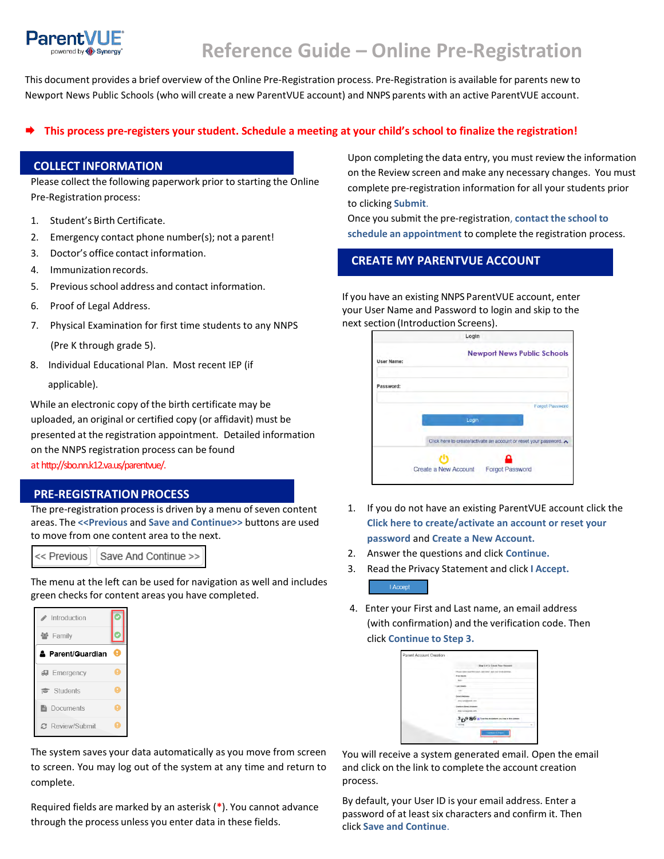

# **Reference Guide – Online Pre-Registration**

This document provides a brief overview of the Online Pre-Registration process. Pre-Registration is available for parents new to Newport News Public Schools (who will create a new ParentVUE account) and NNPS parents with an active ParentVUE account.

## **This process pre-registers your student. Schedule a meeting at your child's school to finalize the registration!**

#### **COLLECT INFORMATION**

Please collect the following paperwork prior to starting the Online Pre-Registration process:

- 1. Student's Birth Certificate.
- 2. Emergency contact phone number(s); not a parent!
- 3. Doctor's office contact information.
- 4. Immunization records.
- 5. Previous school address and contact information.
- 6. Proof of Legal Address.
- 7. Physical Examination for first time students to any NNPS (Pre K through grade 5).
- 8. Individual Educational Plan. Most recent IEP (if applicable).

 While an electronic copy of the birth certificate may be uploaded, an original or certified copy (or affidavit) must be presented at the registration appointment. Detailed information on the NNPS registration process can be found at http://sbo.nn.k12.va.us/parentvue/.

### **PRE-REGISTRATIONPROCESS**

The pre-registration process is driven by a menu of seven content areas. The **<<Previous** and **Save and Continue>>** buttons are used to move from one content area to the next.

<< Previous Save And Continue >>

The menu at the left can be used for navigation as well and includes green checks for content areas you have completed.



The system saves your data automatically as you move from screen to screen. You may log out of the system at any time and return to complete.

Required fields are marked by an asterisk (**\***). You cannot advance through the process unless you enter data in these fields.

Upon completing the data entry, you must review the information on the Review screen and make any necessary changes. You must complete pre-registration information for all your students prior to clicking **Submit**.

Once you submit the pre-registration, **contact the school to schedule an appointment** to complete the registration process.

## **CREATE MY PARENTVUE ACCOUNT**

If you have an existing NNPS ParentVUE account, enter your User Name and Password to login and skip to the next section (Introduction Screens).

|                   | Login                                                            |
|-------------------|------------------------------------------------------------------|
| <b>User Name:</b> | <b>Newport News Public Schools</b>                               |
| Password:         |                                                                  |
|                   | <b>Forgot Password</b>                                           |
|                   | Login                                                            |
|                   | Click here to create/activate an account or reset your password. |
|                   |                                                                  |
|                   | Create a New Account<br><b>Forgot Password</b>                   |

- 1. If you do not have an existing ParentVUE account click the **Click here to create/activate an account or reset your password** and **Create a New Account.**
- 2. Answer the questions and click **Continue.**
- 3. Read the Privacy Statement and click **I Accept.** I Accept
- 4. Enter your First and Last name, an email address (with confirmation) and the verification code. Then click **Continue to Step 3.**

| <b>Blue 2 of 2; Croase Your Hessens</b>                    |
|------------------------------------------------------------|
| Phone downser from hands decisional and your down-accessor |
| Pretmen.                                                   |
| Mary                                                       |
| Laki tikeli-                                               |
| <b>YANT</b>                                                |
| <b><i><u>Amount Emergency</u></i></b>                      |
| programs@exekt.cran                                        |
| <b>George Street Attraces</b>                              |
| PACIFICATION CITY                                          |
| 3p986aturnasses publishes                                  |
| mind.                                                      |
| Contact 40 (three art)                                     |

You will receive a system generated email. Open the email and click on the link to complete the account creation process.

By default, your User ID is your email address. Enter a password of at least six characters and confirm it. Then click **Save and Continue**.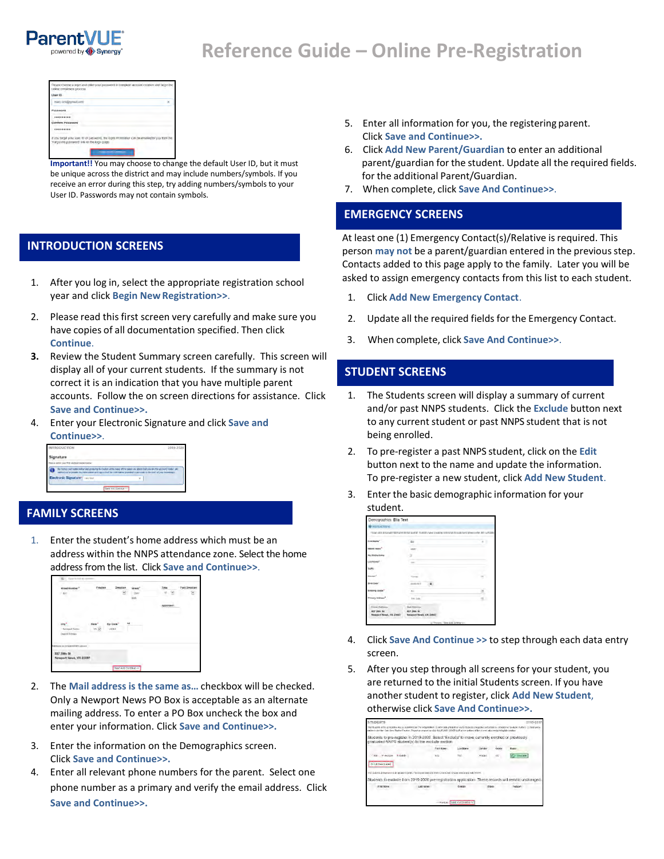

# **Reference Guide – Online Pre-Registration**



**Important!!** You may choose to change the default User ID, but it must be unique across the district and may include numbers/symbols. If you receive an error during this step, try adding numbers/symbols to your User ID. Passwords may not contain symbols.

## **INTRODUCTION SCREENS**

- 1. After you log in, select the appropriate registration school year and click **Begin NewRegistration>>**.
- 2. Please read this first screen very carefully and make sure you have copies of all documentation specified. Then click **Continue**.
- **3.** Review the Student Summary screen carefully. This screen will display all of your current students. If the summary is not correct it is an indication that you have multiple parent accounts. Follow the on screen directions for assistance. Click **Save and Continue>>.**
- 4. Enter your Electronic Signature and click **Save and Continue>>**.

| <b>INTRODUCTION</b>                                                                                                                                                                                                                                | 2019-2020 |
|----------------------------------------------------------------------------------------------------------------------------------------------------------------------------------------------------------------------------------------------------|-----------|
| Signature                                                                                                                                                                                                                                          |           |
| Please enter your first and last name below:                                                                                                                                                                                                       |           |
|                                                                                                                                                                                                                                                    |           |
| By froma your name below and pressing the butter at the base of the page you abest that you are the accessif holder any<br>nationized to provide the information and Agree building mistration provided is accurate to the best of your brussecape |           |

## **FAMILY SCREENS**

1. Enter the student's home address which must be an address within the NNPS attendance zone. Select the home address from the list. Click **Save and Continue>>**.



- 2. The **Mail address is the same as…** checkbox will be checked. Only a Newport News PO Box is acceptable as an alternate mailing address. To enter a PO Box uncheck the box and enter your information. Click **Save and Continue>>.**
- 3. Enter the information on the Demographics screen. Click **Save and Continue>>.**
- 4. Enter all relevant phone numbers for the parent. Select one phone number as a primary and verify the email address. Click **Save and Continue>>.**
- 5. Enter all information for you, the registering parent. Click **Save and Continue>>.**
- 15. 6. Click **Add New Parent/Guardian** to enter an additional parent/guardian for the student. Update all the required fields. for the additional Parent/Guardian.
- 7. When complete, click **Save And Continue>>**.

#### **EMERGENCY SCREENS**

At least one (1) Emergency Contact(s)/Relative is required. This person may not be a parent/guardian entered in the previous step. Contacts added to this page apply to the family. Later you will be asked to assign emergency contacts from this list to each student.

- 1. Click **Add New Emergency Contact**.
- 2. Update all the required fields for the Emergency Contact.
- 3. 3. When complete, click **Save And Continue>>**.

## **STUDENT SCREENS**

- 1. The Students screen will display a summary of current and/or past NNPS students. Click the **Exclude** button next to any current student or past NNPS student that is not being enrolled.
- 2. To pre-register a past NNPS student, click on the **Edit** button next to the name and update the information. To pre-register a new student, click **Add New Student**.
- 3. Enter the basic demographic information for your student.

| Demographics. Ella Test                                        |                                                                                                          |  |
|----------------------------------------------------------------|----------------------------------------------------------------------------------------------------------|--|
| <b>O</b> fractive terms                                        |                                                                                                          |  |
|                                                                | THE VEST SERVICE REPORT FOR THE REAL SUBSIDERS TO A REPORT OF A SAFEKEEPING OF STANDARD FACE AS MALE AND |  |
| <b>Lock Married</b>                                            | Ara                                                                                                      |  |
| <b>HERE</b>                                                    | wer.                                                                                                     |  |
|                                                                | ٠                                                                                                        |  |
| All North                                                      | $\sim$                                                                                                   |  |
|                                                                |                                                                                                          |  |
| <b>TAKER</b>                                                   |                                                                                                          |  |
| is them                                                        | moderni                                                                                                  |  |
| imia úrvok                                                     | $\sim$                                                                                                   |  |
| ury koldressi                                                  | Fre. Lotal                                                                                               |  |
| <b>House Address</b><br>salt you, be<br>Newport News, VA 27407 | Mall Address<br><b>MEF 2MM SR</b><br><b>Respond News, VA 23407</b>                                       |  |
|                                                                | May 444 Termination<br>at Tronger                                                                        |  |

- 4. Click **Save And Continue >>** to step through each data entry screen.
- 5. After you step through all screens for your student, you are returned to the initial Students screen. If you have anotherstudent to register, click **Add New Student**, otherwise click **Save And Continue>>.**

| STUDENTS.       |           |                                                                                                                                                       |                               |                |                 | 1019.21                                                                                                                                                                                |
|-----------------|-----------|-------------------------------------------------------------------------------------------------------------------------------------------------------|-------------------------------|----------------|-----------------|----------------------------------------------------------------------------------------------------------------------------------------------------------------------------------------|
|                 |           | student closified (Applikew Student) button / Reasonement to olde SAVE AND CONTINUE at the solders of the screen after completing this socials        |                               |                |                 | The students in the englisher wall be submitted for The Registration. Duries and crassisting raw/5 students should be enquired reliefable to enquire to enable to provide a card a new |
|                 |           | Students to pre-register in 2019-2020. Select 'Exclude' to move currently enrolled or previously.<br>graduated NNPS student(s) to the exclude section |                               |                |                 |                                                                                                                                                                                        |
|                 |           | First Name                                                                                                                                            | <b>Catch Name</b>             | Otnites        | <b>Cornelis</b> | State:                                                                                                                                                                                 |
| Edi - Millionen | M. Cosolo | Eka                                                                                                                                                   | Yest                          | <b>Revenue</b> |                 | <b>Conunci</b>                                                                                                                                                                         |
| + Ad Dieu Super |           |                                                                                                                                                       |                               |                |                 |                                                                                                                                                                                        |
|                 |           | training across to consider the constant in this Pro-Registration and their records will contain institutional with Windi-                            |                               |                |                 |                                                                                                                                                                                        |
|                 |           |                                                                                                                                                       |                               |                |                 | Students to exclude from 2019-2020 pre-registration application. These records will remain unchanged                                                                                   |
| First Name      |           | Last Karne                                                                                                                                            | Conder                        | COOL           |                 | Reason                                                                                                                                                                                 |
|                 |           |                                                                                                                                                       |                               |                |                 |                                                                                                                                                                                        |
|                 |           |                                                                                                                                                       | coRestructione And Collins on |                |                 |                                                                                                                                                                                        |
|                 |           |                                                                                                                                                       |                               |                |                 |                                                                                                                                                                                        |